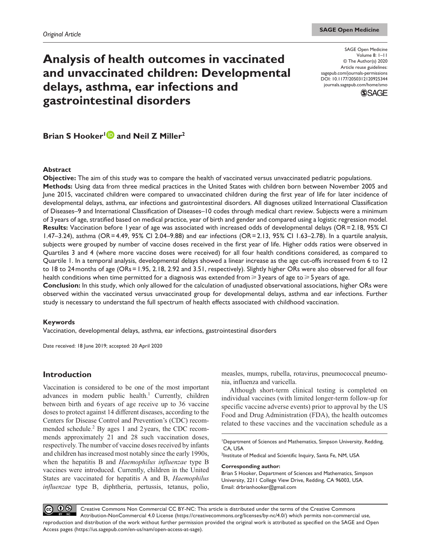# **Analysis of health outcomes in vaccinated and unvaccinated children: Developmental delays, asthma, ear infections and gastrointestinal disorders**

SAGE Open Medicine Volume 8: 1–11 © The Author(s) 2020 Article reuse guidelines: [sagepub.com/journals-permissions](https://uk.sagepub.com/en-gb/journals-permissions) DOI: 10.1177/2050312120925344 [journals.sagepub.com/home/smo](https://journals.sagepub.com/home/smo) **SSAGE** 

**Brian S Hooker<sup>1</sup> and Neil Z Miller<sup>2</sup>** 

# **Abstract**

**Objective:** The aim of this study was to compare the health of vaccinated versus unvaccinated pediatric populations. **Methods:** Using data from three medical practices in the United States with children born between November 2005 and June 2015, vaccinated children were compared to unvaccinated children during the first year of life for later incidence of developmental delays, asthma, ear infections and gastrointestinal disorders. All diagnoses utilized International Classification of Diseases–9 and International Classification of Diseases–10 codes through medical chart review. Subjects were a minimum of 3years of age, stratified based on medical practice, year of birth and gender and compared using a logistic regression model. **Results:** Vaccination before 1year of age was associated with increased odds of developmental delays (OR=2.18, 95% CI 1.47–3.24), asthma (OR=4.49, 95% CI 2.04–9.88) and ear infections (OR=2.13, 95% CI 1.63–2.78). In a quartile analysis, subjects were grouped by number of vaccine doses received in the first year of life. Higher odds ratios were observed in Quartiles 3 and 4 (where more vaccine doses were received) for all four health conditions considered, as compared to Quartile 1. In a temporal analysis, developmental delays showed a linear increase as the age cut-offs increased from 6 to 12 to 18 to 24months of age (ORs=1.95, 2.18, 2.92 and 3.51, respectively). Slightly higher ORs were also observed for all four health conditions when time permitted for a diagnosis was extended from  $\geq 3$  years of age to  $\geq 5$  years of age. **Conclusion:** In this study, which only allowed for the calculation of unadjusted observational associations, higher ORs were

observed within the vaccinated versus unvaccinated group for developmental delays, asthma and ear infections. Further study is necessary to understand the full spectrum of health effects associated with childhood vaccination.

# **Keywords**

Vaccination, developmental delays, asthma, ear infections, gastrointestinal disorders

Date received: 18 June 2019; accepted: 20 April 2020

# **Introduction**

Vaccination is considered to be one of the most important advances in modern public health.<sup>1</sup> Currently, children between birth and 6years of age receive up to 36 vaccine doses to protect against 14 different diseases, according to the Centers for Disease Control and Prevention's (CDC) recommended schedule.<sup>2</sup> By ages 1 and 2 years, the CDC recommends approximately 21 and 28 such vaccination doses, respectively. The number of vaccine doses received by infants and children has increased most notably since the early 1990s, when the hepatitis B and *Haemophilus influenzae* type B vaccines were introduced. Currently, children in the United States are vaccinated for hepatitis A and B, *Haemophilus influenzae* type B, diphtheria, pertussis, tetanus, polio,

measles, mumps, rubella, rotavirus, pneumococcal pneumonia, influenza and varicella.

Although short-term clinical testing is completed on individual vaccines (with limited longer-term follow-up for specific vaccine adverse events) prior to approval by the US Food and Drug Administration (FDA), the health outcomes related to these vaccines and the vaccination schedule as a

1 Department of Sciences and Mathematics, Simpson University, Redding, CA, USA

<sup>2</sup>Institute of Medical and Scientific Inquiry, Santa Fe, NM, USA

**Corresponding author:**

Brian S Hooker, Department of Sciences and Mathematics, Simpson University, 2211 College View Drive, Redding, CA 96003, USA. Email: [drbrianhooker@gmail.com](mailto:drbrianhooker@gmail.com)

 $\odot$ Creative Commons Non Commercial CC BY-NC: This article is distributed under the terms of the Creative Commons  $(cc)$ Attribution-NonCommercial 4.0 License (https://creativecommons.org/licenses/by-nc/4.0/) which permits non-commercial use, reproduction and distribution of the work without further permission provided the original work is attributed as specified on the SAGE and Open Access pages (https://us.sagepub.com/en-us/nam/open-access-at-sage).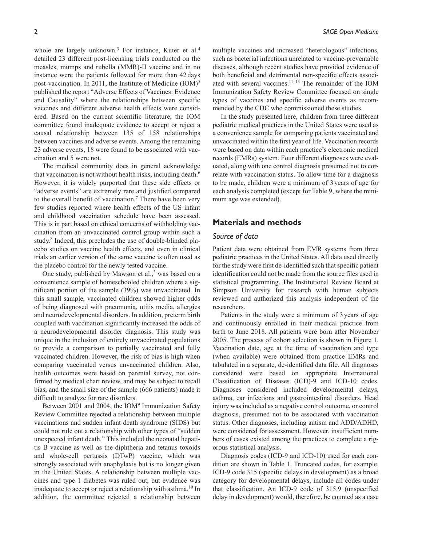whole are largely unknown.<sup>3</sup> For instance, Kuter et al.<sup>4</sup> detailed 23 different post-licensing trials conducted on the measles, mumps and rubella (MMR)-II vaccine and in no instance were the patients followed for more than 42 days post-vaccination. In 2011, the Institute of Medicine (IOM)<sup>5</sup> published the report "Adverse Effects of Vaccines: Evidence and Causality" where the relationships between specific vaccines and different adverse health effects were considered. Based on the current scientific literature, the IOM committee found inadequate evidence to accept or reject a causal relationship between 135 of 158 relationships between vaccines and adverse events. Among the remaining 23 adverse events, 18 were found to be associated with vaccination and 5 were not.

The medical community does in general acknowledge that vaccination is not without health risks, including death.6 However, it is widely purported that these side effects or "adverse events" are extremely rare and justified compared to the overall benefit of vaccination.<sup>7</sup> There have been very few studies reported where health effects of the US infant and childhood vaccination schedule have been assessed. This is in part based on ethical concerns of withholding vaccination from an unvaccinated control group within such a study.<sup>8</sup> Indeed, this precludes the use of double-blinded placebo studies on vaccine health effects, and even in clinical trials an earlier version of the same vaccine is often used as the placebo control for the newly tested vaccine.

One study, published by Mawson et al., $3$  was based on a convenience sample of homeschooled children where a significant portion of the sample (39%) was unvaccinated. In this small sample, vaccinated children showed higher odds of being diagnosed with pneumonia, otitis media, allergies and neurodevelopmental disorders. In addition, preterm birth coupled with vaccination significantly increased the odds of a neurodevelopmental disorder diagnosis. This study was unique in the inclusion of entirely unvaccinated populations to provide a comparison to partially vaccinated and fully vaccinated children. However, the risk of bias is high when comparing vaccinated versus unvaccinated children. Also, health outcomes were based on parental survey, not confirmed by medical chart review, and may be subject to recall bias, and the small size of the sample (666 patients) made it difficult to analyze for rare disorders.

Between 2001 and 2004, the  $IOM<sup>9</sup>$  Immunization Safety Review Committee rejected a relationship between multiple vaccinations and sudden infant death syndrome (SIDS) but could not rule out a relationship with other types of "sudden unexpected infant death." This included the neonatal hepatitis B vaccine as well as the diphtheria and tetanus toxoids and whole-cell pertussis (DTwP) vaccine, which was strongly associated with anaphylaxis but is no longer given in the United States. A relationship between multiple vaccines and type 1 diabetes was ruled out, but evidence was inadequate to accept or reject a relationship with asthma.<sup>10</sup> In addition, the committee rejected a relationship between

multiple vaccines and increased "heterologous" infections, such as bacterial infections unrelated to vaccine-preventable diseases, although recent studies have provided evidence of both beneficial and detrimental non-specific effects associated with several vaccines.11–13 The remainder of the IOM Immunization Safety Review Committee focused on single types of vaccines and specific adverse events as recommended by the CDC who commissioned these studies.

In the study presented here, children from three different pediatric medical practices in the United States were used as a convenience sample for comparing patients vaccinated and unvaccinated within the first year of life. Vaccination records were based on data within each practice's electronic medical records (EMRs) system. Four different diagnoses were evaluated, along with one control diagnosis presumed not to correlate with vaccination status. To allow time for a diagnosis to be made, children were a minimum of 3 years of age for each analysis completed (except for Table 9, where the minimum age was extended).

# **Materials and methods**

## *Source of data*

Patient data were obtained from EMR systems from three pediatric practices in the United States. All data used directly for the study were first de-identified such that specific patient identification could not be made from the source files used in statistical programming. The Institutional Review Board at Simpson University for research with human subjects reviewed and authorized this analysis independent of the researchers.

Patients in the study were a minimum of 3 years of age and continuously enrolled in their medical practice from birth to June 2018. All patients were born after November 2005. The process of cohort selection is shown in Figure 1. Vaccination date, age at the time of vaccination and type (when available) were obtained from practice EMRs and tabulated in a separate, de-identified data file. All diagnoses considered were based on appropriate International Classification of Diseases (ICD)-9 and ICD-10 codes. Diagnoses considered included developmental delays, asthma, ear infections and gastrointestinal disorders. Head injury was included as a negative control outcome, or control diagnosis, presumed not to be associated with vaccination status. Other diagnoses, including autism and ADD/ADHD, were considered for assessment. However, insufficient numbers of cases existed among the practices to complete a rigorous statistical analysis.

Diagnosis codes (ICD-9 and ICD-10) used for each condition are shown in Table 1. Truncated codes, for example, ICD-9 code 315 (specific delays in development) as a broad category for developmental delays, include all codes under that classification. An ICD-9 code of 315.9 (unspecified delay in development) would, therefore, be counted as a case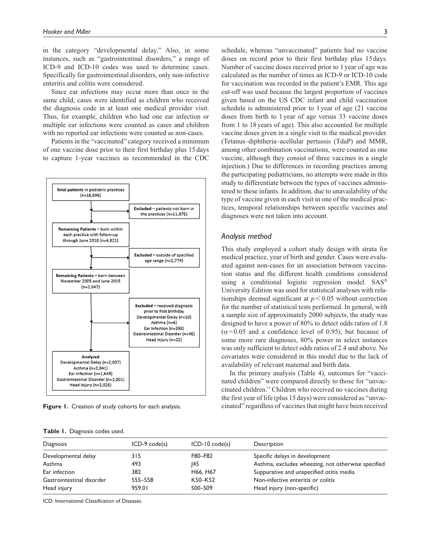in the category "developmental delay." Also, in some instances, such as "gastrointestinal disorders," a range of ICD-9 and ICD-10 codes was used to determine cases. Specifically for gastrointestinal disorders, only non-infective enteritis and colitis were considered.

Since ear infections may occur more than once in the same child, cases were identified as children who received the diagnosis code in at least one medical provider visit. Thus, for example, children who had one ear infection or multiple ear infections were counted as cases and children with no reported ear infections were counted as non-cases.

Patients in the "vaccinated" category received a minimum of one vaccine dose prior to their first birthday plus 15 days to capture 1-year vaccines as recommended in the CDC



|  |  | Table 1. Diagnosis codes used. |  |  |
|--|--|--------------------------------|--|--|
|--|--|--------------------------------|--|--|

schedule, whereas "unvaccinated" patients had no vaccine doses on record prior to their first birthday plus 15 days. Number of vaccine doses received prior to 1 year of age was calculated as the number of times an ICD-9 or ICD-10 code for vaccination was recorded in the patient's EMR. This age cut-off was used because the largest proportion of vaccines given based on the US CDC infant and child vaccination schedule is administered prior to 1year of age (21 vaccine doses from birth to 1 year of age versus 33 vaccine doses from 1 to 18years of age). This also accounted for multiple vaccine doses given in a single visit to the medical provider. (Tetanus–diphtheria–acellular pertussis (TdaP) and MMR, among other combination vaccinations, were counted as one vaccine, although they consist of three vaccines in a single injection.) Due to differences in recording practices among the participating pediatricians, no attempts were made in this study to differentiate between the types of vaccines administered to these infants. In addition, due to unavailability of the type of vaccine given in each visit in one of the medical practices, temporal relationships between specific vaccines and diagnoses were not taken into account.

## *Analysis method*

This study employed a cohort study design with strata for medical practice, year of birth and gender. Cases were evaluated against non-cases for an association between vaccination status and the different health conditions considered using a conditional logistic regression model. SAS<sup>®</sup> University Edition was used for statistical analyses with relationships deemed significant at  $p < 0.05$  without correction for the number of statistical tests performed. In general, with a sample size of approximately 2000 subjects, the study was designed to have a power of 80% to detect odds ratios of 1.8  $(\alpha=0.05$  and a confidence level of 0.95), but because of some more rare diagnoses, 80% power in select instances was only sufficient to detect odds ratios of 2.4 and above. No covariates were considered in this model due to the lack of availability of relevant maternal and birth data.

In the primary analysis (Table 4), outcomes for "vaccinated children" were compared directly to those for "unvaccinated children." Children who received no vaccines during the first year of life (plus 15days) were considered as "unvac-**Figure 1.** Creation of study cohorts for each analysis. cinated" regardless of vaccines that might have been received

| Diagnosis                 | $ICD-9 code(s)$ | $ICD-10 code(s)$ | Description                                        |
|---------------------------|-----------------|------------------|----------------------------------------------------|
| Developmental delay       | 315             | F80-F82          | Specific delays in development                     |
| Asthma                    | 493             | 145              | Asthma, excludes wheezing, not otherwise specified |
| Ear infection             | 382             | H66, H67         | Suppurative and unspecified otitis media           |
| Gastrointestinal disorder | 555-558         | K50-K52          | Non-infective enteritis or colitis                 |
| Head injury               | 959.01          | S00-S09          | Head injury (non-specific)                         |
|                           |                 |                  |                                                    |

ICD: International Classification of Diseases.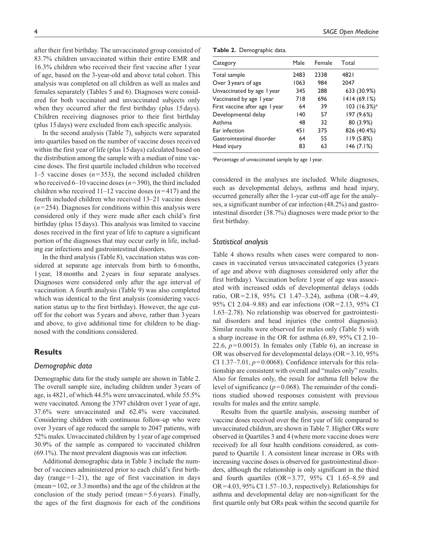after their first birthday. The unvaccinated group consisted of 83.7% children unvaccinated within their entire EMR and 16.3% children who received their first vaccine after 1 year of age, based on the 3-year-old and above total cohort. This analysis was completed on all children as well as males and females separately (Tables 5 and 6). Diagnoses were considered for both vaccinated and unvaccinated subjects only when they occurred after the first birthday (plus 15 days). Children receiving diagnoses prior to their first birthday (plus 15 days) were excluded from each specific analysis.

In the second analysis (Table 7), subjects were separated into quartiles based on the number of vaccine doses received within the first year of life (plus 15 days) calculated based on the distribution among the sample with a median of nine vaccine doses. The first quartile included children who received 1–5 vaccine doses (*n*=353), the second included children who received 6–10 vaccine doses (*n*=390), the third included children who received 11–12 vaccine doses (*n*=417) and the fourth included children who received 13–21 vaccine doses (*n*=254). Diagnoses for conditions within this analysis were considered only if they were made after each child's first birthday (plus 15 days). This analysis was limited to vaccine doses received in the first year of life to capture a significant portion of the diagnoses that may occur early in life, including ear infections and gastrointestinal disorders.

In the third analysis (Table 8), vaccination status was considered at separate age intervals from birth to 6months, 1year, 18months and 2years in four separate analyses. Diagnoses were considered only after the age interval of vaccination. A fourth analysis (Table 9) was also completed which was identical to the first analysis (considering vaccination status up to the first birthday). However, the age cutoff for the cohort was 5 years and above, rather than 3years and above, to give additional time for children to be diagnosed with the conditions considered.

# **Results**

## *Demographic data*

Demographic data for the study sample are shown in Table 2. The overall sample size, including children under 3years of age, is 4821, of which 44.5% were unvaccinated, while 55.5% were vaccinated. Among the 3797 children over 1year of age, 37.6% were unvaccinated and 62.4% were vaccinated. Considering children with continuous follow-up who were over 3years of age reduced the sample to 2047 patients, with 52% males. Unvaccinated children by 1year of age comprised 30.9% of the sample as compared to vaccinated children (69.1%). The most prevalent diagnosis was ear infection.

Additional demographic data in Table 3 include the number of vaccines administered prior to each child's first birthday (range= $1-21$ ), the age of first vaccination in days (mean=102, or 3.3months) and the age of the children at the conclusion of the study period (mean=5.6years). Finally, the ages of the first diagnosis for each of the conditions

#### **Table 2.** Demographic data.

| Category                       | Male | Female | Total                    |
|--------------------------------|------|--------|--------------------------|
| Total sample                   | 2483 | 2338   | 4821                     |
| Over 3 years of age            | 1063 | 984    | 2047                     |
| Unvaccinated by age I year     | 345  | 288    | 633 (30.9%)              |
| Vaccinated by age I year       | 718  | 696    | 1414 (69.1%)             |
| First vaccine after age I year | 64   | 39     | 103 (16.3%) <sup>a</sup> |
| Developmental delay            | 140  | 57     | 197 (9.6%)               |
| Asthma                         | 48   | 32     | 80 (3.9%)                |
| Ear infection                  | 45 I | 375    | 826 (40.4%)              |
| Gastrointestinal disorder      | 64   | 55     | 119(5.8%)                |
| Head injury                    | 83   | 63     | 146(7.1%)                |

<sup>a</sup>Percentage of unvaccinated sample by age I year.

considered in the analyses are included. While diagnoses, such as developmental delays, asthma and head injury, occurred generally after the 1-year cut-off age for the analyses, a significant number of ear infection (48.2%) and gastrointestinal disorder (38.7%) diagnoses were made prior to the first birthday.

# *Statistical analysis*

Table 4 shows results when cases were compared to noncases in vaccinated versus unvaccinated categories (3years of age and above with diagnoses considered only after the first birthday). Vaccination before 1 year of age was associated with increased odds of developmental delays (odds ratio, OR=2.18, 95% CI 1.47–3.24), asthma (OR=4.49, 95% CI 2.04–9.88) and ear infections (OR=2.13, 95% CI 1.63–2.78). No relationship was observed for gastrointestinal disorders and head injuries (the control diagnosis). Similar results were observed for males only (Table 5) with a sharp increase in the OR for asthma (6.89, 95% CI 2.10– 22.6,  $p=0.0015$ ). In females only (Table 6), an increase in OR was observed for developmental delays  $(OR=3.10, 95\%)$ CI 1.37–7.01,  $p=0.0068$ ). Confidence intervals for this relationship are consistent with overall and "males only" results. Also for females only, the result for asthma fell below the level of significance  $(p=0.068)$ . The remainder of the conditions studied showed responses consistent with previous results for males and the entire sample.

Results from the quartile analysis, assessing number of vaccine doses received over the first year of life compared to unvaccinated children, are shown in Table 7. Higher ORs were observed in Quartiles 3 and 4 (where more vaccine doses were received) for all four health conditions considered, as compared to Quartile 1. A consistent linear increase in ORs with increasing vaccine doses is observed for gastrointestinal disorders, although the relationship is only significant in the third and fourth quartiles  $(OR = 3.77, 95\% \text{ CI } 1.65 - 8.59 \text{ and }$ OR=4.03, 95% CI 1.57–10.3, respectively). Relationships for asthma and developmental delay are non-significant for the first quartile only but ORs peak within the second quartile for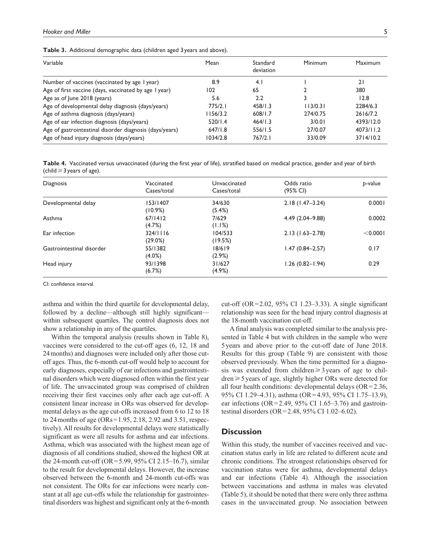|  | Table 3. Additional demographic data (children aged 3 years and above). |  |
|--|-------------------------------------------------------------------------|--|
|  |                                                                         |  |

| Variable                                                | Mean     | Standard<br>deviation | Minimum  | Maximum   |
|---------------------------------------------------------|----------|-----------------------|----------|-----------|
| Number of vaccines (vaccinated by age I year)           | 8.9      | 4.1                   |          | 21        |
| Age of first vaccine (days, vaccinated by age I year)   | 102      | 65                    |          | 380       |
| Age as of June 2018 (years)                             | 5.6      | 2.2                   |          | 12.8      |
| Age of developmental delay diagnosis (days/years)       | 775/2.1  | 458/1.3               | 113/0.31 | 2284/6.3  |
| Age of asthma diagnosis (days/years)                    | 1156/3.2 | 608/1.7               | 274/0.75 | 2616/7.2  |
| Age of ear infection diagnosis (days/years)             | 520/1.4  | 464/1.3               | 3/0.01   | 4393/12.0 |
| Age of gastrointestinal disorder diagnosis (days/years) | 647/1.8  | 556/1.5               | 27/0.07  | 4073/11.2 |
| Age of head injury diagnosis (days/years)               | 1034/2.8 | 767/2.1               | 33/0.09  | 3714/10.2 |

**Table 4.** Vaccinated versus unvaccinated (during the first year of life), stratified based on medical practice, gender and year of birth (child  $\geq$  3 years of age).

| Diagnosis                 | Vaccinated<br>Cases/total | Unvaccinated<br>Cases/total | Odds ratio<br>(95% CI) | p-value  |
|---------------------------|---------------------------|-----------------------------|------------------------|----------|
| Developmental delay       | 153/1407<br>$(10.9\%)$    | 34/630<br>(5.4%)            | $2.18(1.47-3.24)$      | 0.0001   |
| Asthma                    | 67/1412<br>(4.7%)         | 7/629<br>(1.1%)             | $4.49(2.04 - 9.88)$    | 0.0002   |
| Ear infection             | 324/1116<br>(29.0%)       | 104/533<br>(19.5%)          | $2.13(1.63 - 2.78)$    | < 0.0001 |
| Gastrointestinal disorder | 55/1382<br>$(4.0\%)$      | 18/619<br>(2.9%)            | $1.47(0.84 - 2.57)$    | 0.17     |
| Head injury               | 93/1398<br>(6.7%)         | 31/627<br>$(4.9\%)$         | $1.26(0.82 - 1.94)$    | 0.29     |

CI: confidence interval.

asthma and within the third quartile for developmental delay, followed by a decline—although still highly significant within subsequent quartiles. The control diagnosis does not show a relationship in any of the quartiles.

Within the temporal analysis (results shown in Table 8), vaccines were considered to the cut-off ages (6, 12, 18 and 24months) and diagnoses were included only after those cutoff ages. Thus, the 6-month cut-off would help to account for early diagnoses, especially of ear infections and gastrointestinal disorders which were diagnosed often within the first year of life. The unvaccinated group was comprised of children receiving their first vaccines only after each age cut-off. A consistent linear increase in ORs was observed for developmental delays as the age cut-offs increased from 6 to 12 to 18 to 24months of age (ORs=1.95, 2.18, 2.92 and 3.51, respectively). All results for developmental delays were statistically significant as were all results for asthma and ear infections. Asthma, which was associated with the highest mean age of diagnosis of all conditions studied, showed the highest OR at the 24-month cut-off (OR=5.99, 95% CI 2.15–16.7), similar to the result for developmental delays. However, the increase observed between the 6-month and 24-month cut-offs was not consistent. The ORs for ear infections were nearly constant at all age cut-offs while the relationship for gastrointestinal disorders was highest and significant only at the 6-month

cut-off (OR=2.02,  $95\%$  CI 1.23–3.33). A single significant relationship was seen for the head injury control diagnosis at the 18-month vaccination cut-off.

A final analysis was completed similar to the analysis presented in Table 4 but with children in the sample who were 5years and above prior to the cut-off date of June 2018. Results for this group (Table 9) are consistent with those observed previously. When the time permitted for a diagnosis was extended from children $\geq 3$ years of age to chil $dren \geq 5$  years of age, slightly higher ORs were detected for all four health conditions: developmental delays  $(OR = 2.36,$ 95% CI 1.29–4.31), asthma (OR=4.93, 95% CI 1.75–13.9), ear infections ( $OR = 2.49$ ,  $95\%$  CI 1.65–3.76) and gastrointestinal disorders (OR=2.48, 95% CI 1.02–6.02).

# **Discussion**

Within this study, the number of vaccines received and vaccination status early in life are related to different acute and chronic conditions. The strongest relationships observed for vaccination status were for asthma, developmental delays and ear infections (Table 4). Although the association between vaccinations and asthma in males was elevated (Table 5), it should be noted that there were only three asthma cases in the unvaccinated group. No association between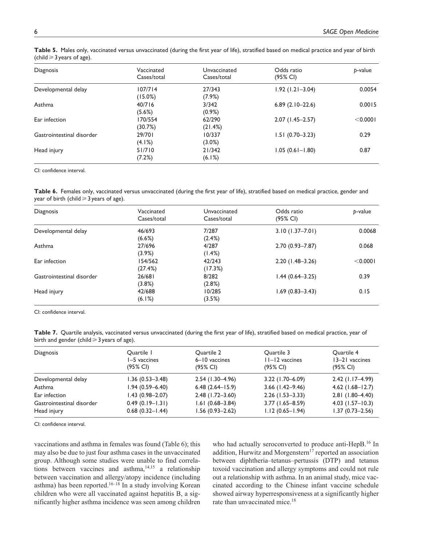| Diagnosis                 | Vaccinated<br>Cases/total | Unvaccinated<br>Cases/total | Odds ratio<br>$(95\% \text{ Cl})$ | p-value  |
|---------------------------|---------------------------|-----------------------------|-----------------------------------|----------|
| Developmental delay       | 107/714                   | 27/343                      | $1.92(1.21 - 3.04)$               | 0.0054   |
|                           | (15.0%)                   | (7.9%)                      |                                   |          |
| Asthma                    | 40/716                    | 3/342                       | $6.89(2.10-22.6)$                 | 0.0015   |
|                           | (5.6%)                    | $(0.9\%)$                   |                                   |          |
| Ear infection             | 170/554                   | 62/290                      | $2.07(1.45 - 2.57)$               | < 0.0001 |
|                           | (30.7%)                   | (21.4%)                     |                                   |          |
| Gastrointestinal disorder | 29/701                    | 10/337                      | $1.51(0.70 - 3.23)$               | 0.29     |
|                           | (4.1%)                    | (3.0%)                      |                                   |          |
| Head injury               | 51/710                    | 21/342                      | $1.05(0.61 - 1.80)$               | 0.87     |
|                           | (7.2%)                    | (6.1%)                      |                                   |          |

**Table 5.** Males only, vaccinated versus unvaccinated (during the first year of life), stratified based on medical practice and year of birth (child  $\geq$  3 years of age).

CI: confidence interval.

**Table 6.** Females only, vaccinated versus unvaccinated (during the first year of life), stratified based on medical practice, gender and year of birth (child  $\geq 3$  years of age).

| Diagnosis                 | Vaccinated<br>Cases/total | Unvaccinated<br>Cases/total | Odds ratio<br>(95% CI) | p-value  |
|---------------------------|---------------------------|-----------------------------|------------------------|----------|
| Developmental delay       | 46/693<br>(6.6%)          | 7/287<br>(2.4%)             | $3.10(1.37 - 7.01)$    | 0.0068   |
| Asthma                    | 27/696<br>$(3.9\%)$       | 4/287<br>(1.4%)             | $2.70(0.93 - 7.87)$    | 0.068    |
| Ear infection             | 154/562<br>(27.4%)        | 42/243<br>(17.3%)           | $2.20(1.48-3.26)$      | < 0.0001 |
| Gastrointestinal disorder | 26/681<br>(3.8%)          | 8/282<br>(2.8%)             | $1.44(0.64 - 3.25)$    | 0.39     |
| Head injury               | 42/688<br>(6.1%)          | 10/285<br>(3.5%)            | $1.69(0.83 - 3.43)$    | 0.15     |

CI: confidence interval.

**Table 7.** Quartile analysis, vaccinated versus unvaccinated (during the first year of life), stratified based on medical practice, year of birth and gender (child  $\geq 3$  years of age).

| Diagnosis                 | Quartile 1<br>$I - 5$ vaccines<br>$(95\% \text{ Cl})$ | Quartile 2<br>$6 - 10$ vaccines<br>$(95\% \text{ Cl})$ | Ouartile 3<br>11-12 vaccines<br>$(95\% \text{ Cl})$ | Ouartile 4<br>13-21 vaccines<br>$(95\% \text{ Cl})$ |
|---------------------------|-------------------------------------------------------|--------------------------------------------------------|-----------------------------------------------------|-----------------------------------------------------|
| Developmental delay       | $1.36(0.53 - 3.48)$                                   | $2.54(1.30-4.96)$                                      | $3.22$ (1.70–6.09)                                  | $2.42$ (1.17-4.99)                                  |
| Asthma                    | $1.94(0.59 - 6.40)$                                   | $6.48(2.64 - 15.9)$                                    | $3.66$ (1.42-9.46)                                  | $4.62$ (1.68-12.7)                                  |
| Ear infection             | $1.43(0.98 - 2.07)$                                   | $2.48$ (1.72-3.60)                                     | $2.26(1.53 - 3.33)$                                 | $2.81(1.80-4.40)$                                   |
| Gastrointestinal disorder | $0.49(0.19 - 1.31)$                                   | $1.61(0.68 - 3.84)$                                    | $3.77(1.65 - 8.59)$                                 | $4.03$ (1.57-10.3)                                  |
| Head injury               | $0.68(0.32 - 1.44)$                                   | $1.56(0.93 - 2.62)$                                    | $1.12(0.65 - 1.94)$                                 | $1.37(0.73 - 2.56)$                                 |

CI: confidence interval.

vaccinations and asthma in females was found (Table 6); this may also be due to just four asthma cases in the unvaccinated group. Although some studies were unable to find correlations between vaccines and asthma, $14,15$  a relationship between vaccination and allergy/atopy incidence (including asthma) has been reported.<sup>16–18</sup> In a study involving Korean children who were all vaccinated against hepatitis B, a significantly higher asthma incidence was seen among children who had actually seroconverted to produce anti-HepB.<sup>16</sup> In addition, Hurwitz and Morgenstern<sup>17</sup> reported an association between diphtheria–tetanus–pertussis (DTP) and tetanus toxoid vaccination and allergy symptoms and could not rule out a relationship with asthma. In an animal study, mice vaccinated according to the Chinese infant vaccine schedule showed airway hyperresponsiveness at a significantly higher rate than unvaccinated mice.<sup>18</sup>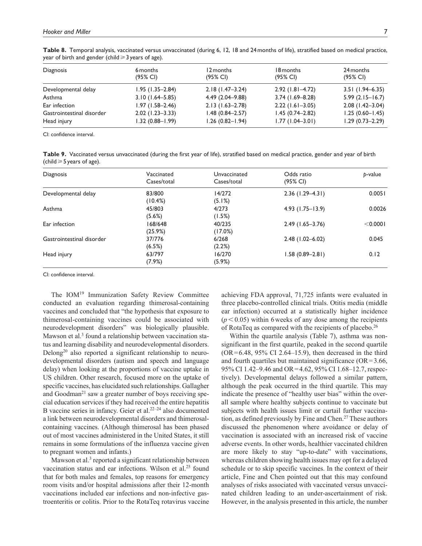| <b>Diagnosis</b>          | 6 months<br>$(95\% \text{ Cl})$ | 12 months<br>$(95\% \text{ Cl})$ | 18 months<br>$(95\% \text{ Cl})$ | 24 months<br>$(95\% \text{ Cl})$ |
|---------------------------|---------------------------------|----------------------------------|----------------------------------|----------------------------------|
| Developmental delay       | $1.95(1.35 - 2.84)$             | $2.18(1.47 - 3.24)$              | $2.92(1.81 - 4.72)$              | $3.51(1.94 - 6.35)$              |
| Asthma                    | $3.10(1.64 - 5.85)$             | $4.49(2.04 - 9.88)$              | $3.74$ (1.69-8.28)               | $5.99(2.15 - 16.7)$              |
| Ear infection             | $1.97(1.58 - 2.46)$             | $2.13(1.63 - 2.78)$              | $2.22(1.61 - 3.05)$              | $2.08(1.42 - 3.04)$              |
| Gastrointestinal disorder | $2.02(1.23 - 3.33)$             | $1.48(0.84 - 2.57)$              | $1.45(0.74 - 2.82)$              | $1.25(0.60 - 1.45)$              |
| Head injury               | $1.32(0.88 - 1.99)$             | $1.26(0.82 - 1.94)$              | $1.77(1.04 - 3.01)$              | $1.29(0.73 - 2.29)$              |

**Table 8.** Temporal analysis, vaccinated versus unvaccinated (during 6, 12, 18 and 24months of life), stratified based on medical practice, year of birth and gender (child  $\geq 3$  years of age).

CI: confidence interval.

**Table 9.** Vaccinated versus unvaccinated (during the first year of life), stratified based on medical practice, gender and year of birth (child  $\geq 5$  years of age).

| Diagnosis                 | Vaccinated<br>Cases/total | Unvaccinated<br>Cases/total | Odds ratio<br>(95% CI) | p-value  |
|---------------------------|---------------------------|-----------------------------|------------------------|----------|
| Developmental delay       | 83/800                    | 14/272                      | $2.36(1.29 - 4.31)$    | 0.0051   |
|                           | (10.4%)                   | (5.1%)                      |                        |          |
| Asthma                    | 45/803                    | 4/273                       | $4.93$ (1.75-13.9)     | 0.0026   |
|                           | (5.6%)                    | (1.5%)                      |                        |          |
| Ear infection             | 168/648                   | 40/235                      | $2.49(1.65 - 3.76)$    | < 0.0001 |
|                           | (25.9%)                   | (17.0%)                     |                        |          |
| Gastrointestinal disorder | 37/776                    | 6/268                       | $2.48$ (1.02-6.02)     | 0.045    |
|                           | (6.5%)                    | (2.2%)                      |                        |          |
| Head injury               | 63/797                    | 16/270                      | 1.58 (0.89-2.81)       | 0.12     |
|                           | (7.9%)                    | (5.9%)                      |                        |          |

CI: confidence interval.

The IOM19 Immunization Safety Review Committee conducted an evaluation regarding thimerosal-containing vaccines and concluded that "the hypothesis that exposure to thimerosal-containing vaccines could be associated with neurodevelopment disorders" was biologically plausible. Mawson et al.<sup>3</sup> found a relationship between vaccination status and learning disability and neurodevelopmental disorders. Delong<sup>20</sup> also reported a significant relationship to neurodevelopmental disorders (autism and speech and language delay) when looking at the proportions of vaccine uptake in US children. Other research, focused more on the uptake of specific vaccines, has elucidated such relationships. Gallagher and Goodman<sup>21</sup> saw a greater number of boys receiving special education services if they had received the entire hepatitis B vaccine series in infancy. Geier et al. $22-24$  also documented a link between neurodevelopmental disorders and thimerosalcontaining vaccines. (Although thimerosal has been phased out of most vaccines administered in the United States, it still remains in some formulations of the influenza vaccine given to pregnant women and infants.)

Mawson et al.<sup>3</sup> reported a significant relationship between vaccination status and ear infections. Wilson et al.<sup>25</sup> found that for both males and females, top reasons for emergency room visits and/or hospital admissions after their 12-month vaccinations included ear infections and non-infective gastroenteritis or colitis. Prior to the RotaTeq rotavirus vaccine

achieving FDA approval, 71,725 infants were evaluated in three placebo-controlled clinical trials. Otitis media (middle ear infection) occurred at a statistically higher incidence  $(p<0.05)$  within 6 weeks of any dose among the recipients of RotaTeq as compared with the recipients of placebo.26

Within the quartile analysis (Table 7), asthma was nonsignificant in the first quartile, peaked in the second quartile  $(OR = 6.48, 95\% \text{ CI } 2.64 - 15.9)$ , then decreased in the third and fourth quartiles but maintained significance ( $OR = 3.66$ , 95% CI 1.42–9.46 and OR=4.62, 95% CI 1.68–12.7, respectively). Developmental delays followed a similar pattern, although the peak occurred in the third quartile. This may indicate the presence of "healthy user bias" within the overall sample where healthy subjects continue to vaccinate but subjects with health issues limit or curtail further vaccination, as defined previously by Fine and Chen.<sup>27</sup> These authors discussed the phenomenon where avoidance or delay of vaccination is associated with an increased risk of vaccine adverse events. In other words, healthier vaccinated children are more likely to stay "up-to-date" with vaccinations, whereas children showing health issues may opt for a delayed schedule or to skip specific vaccines. In the context of their article, Fine and Chen pointed out that this may confound analyses of risks associated with vaccinated versus unvaccinated children leading to an under-ascertainment of risk. However, in the analysis presented in this article, the number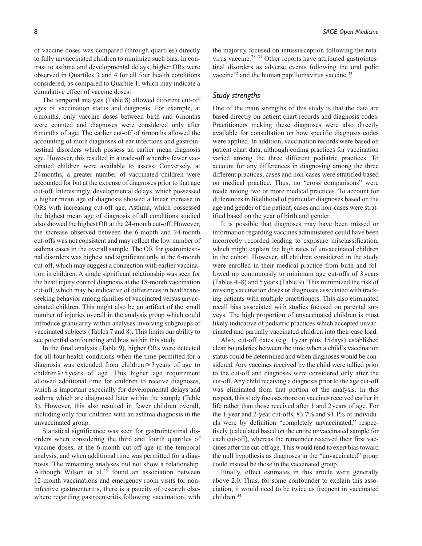of vaccine doses was compared (through quartiles) directly to fully unvaccinated children to minimize such bias. In contrast to asthma and developmental delays, higher ORs were observed in Quartiles 3 and 4 for all four health conditions considered, as compared to Quartile 1, which may indicate a cumulative effect of vaccine doses.

The temporal analysis (Table 8) allowed different cut-off ages of vaccination status and diagnosis. For example, at 6months, only vaccine doses between birth and 6months were counted and diagnoses were considered only after 6months of age. The earlier cut-off of 6months allowed the accounting of more diagnoses of ear infections and gastrointestinal disorders which possess an earlier mean diagnosis age. However, this resulted in a trade-off whereby fewer vaccinated children were available to assess. Conversely, at 24months, a greater number of vaccinated children were accounted for but at the expense of diagnoses prior to that age cut-off. Interestingly, developmental delays, which possessed a higher mean age of diagnosis showed a linear increase in ORs with increasing cut-off age. Asthma, which possessed the highest mean age of diagnosis of all conditions studied also showed the highest OR at the 24-month cut-off. However, the increase observed between the 6-month and 24-month cut-offs was not consistent and may reflect the low number of asthma cases in the overall sample. The OR for gastrointestinal disorders was highest and significant only at the 6-month cut-off, which may suggest a connection with earlier vaccination in children. A single significant relationship was seen for the head injury control diagnosis at the 18-month vaccination cut-off, which may be indicative of differences in healthcareseeking behavior among families of vaccinated versus unvaccinated children. This might also be an artifact of the small number of injuries overall in the analysis group which could introduce granularity within analyses involving subgroups of vaccinated subjects (Tables 7 and 8). This limits our ability to see potential confounding and bias within this study.

In the final analysis (Table 9), higher ORs were detected for all four health conditions when the time permitted for a diagnosis was extended from children $\geq 3$  years of age to children $\geq 5$  years of age. This higher age requirement allowed additional time for children to receive diagnoses, which is important especially for developmental delays and asthma which are diagnosed later within the sample (Table 3). However, this also resulted in fewer children overall, including only four children with an asthma diagnosis in the unvaccinated group.

Statistical significance was seen for gastrointestinal disorders when considering the third and fourth quartiles of vaccine doses, at the 6-month cut-off age in the temporal analysis, and when additional time was permitted for a diagnosis. The remaining analyses did not show a relationship. Although Wilson et al. $25$  found an association between 12-month vaccinations and emergency room visits for noninfective gastroenteritis, there is a paucity of research elsewhere regarding gastroenteritis following vaccination, with the majority focused on intussusception following the rotavirus vaccine. $28-31$  Other reports have attributed gastrointestinal disorders as adverse events following the oral polio vaccine<sup>32</sup> and the human papillomavirus vaccine.<sup>33</sup>

# *Study strengths*

One of the main strengths of this study is that the data are based directly on patient chart records and diagnosis codes. Practitioners making these diagnoses were also directly available for consultation on how specific diagnosis codes were applied. In addition, vaccination records were based on patient chart data, although coding practices for vaccination varied among the three different pediatric practices. To account for any differences in diagnosing among the three different practices, cases and non-cases were stratified based on medical practice. Thus, no "cross comparisons" were made among two or more medical practices. To account for differences in likelihood of particular diagnoses based on the age and gender of the patient, cases and non-cases were stratified based on the year of birth and gender.

It is possible that diagnoses may have been missed or information regarding vaccines administered could have been incorrectly recorded leading to exposure misclassification, which might explain the high rates of unvaccinated children in the cohort. However, all children considered in the study were enrolled in their medical practice from birth and followed up continuously to minimum age cut-offs of 3years (Tables 4–8) and 5years (Table 9). This minimized the risk of missing vaccination doses or diagnoses associated with tracking patients with multiple practitioners. This also eliminated recall bias associated with studies focused on parental surveys. The high proportion of unvaccinated children is most likely indicative of pediatric practices which accepted unvaccinated and partially vaccinated children into their case load.

Also, cut-off dates (e.g. 1year plus 15days) established clear boundaries between the time when a child's vaccination status could be determined and when diagnoses would be considered. Any vaccines received by the child were tallied prior to the cut-off and diagnoses were considered only after the cut-off. Any child receiving a diagnosis prior to the age cut-off was eliminated from that portion of the analysis. In this respect, this study focuses more on vaccines received earlier in life rather than those received after 1 and 2years of age. For the 1-year and 2-year cut-offs, 83.7% and 91.1% of individuals were by definition "completely unvaccinated," respectively (calculated based on the entire unvaccinated sample for each cut-off), whereas the remainder received their first vaccines after the cut-off age. This would tend to exert bias toward the null hypothesis as diagnoses in the "unvaccinated" group could instead be those in the vaccinated group.

Finally, effect estimates in this article were generally above 2.0. Thus, for some confounder to explain this association, it would need to be twice as frequent in vaccinated children.34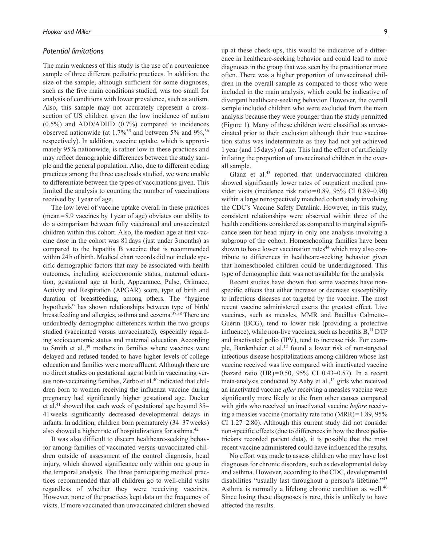# *Potential limitations*

The main weakness of this study is the use of a convenience sample of three different pediatric practices. In addition, the size of the sample, although sufficient for some diagnoses, such as the five main conditions studied, was too small for analysis of conditions with lower prevalence, such as autism. Also, this sample may not accurately represent a crosssection of US children given the low incidence of autism (0.5%) and ADD/ADHD (0.7%) compared to incidences observed nationwide (at 1.7%<sup>35</sup> and between 5% and 9%,<sup>36</sup> respectively). In addition, vaccine uptake, which is approximately 95% nationwide, is rather low in these practices and may reflect demographic differences between the study sample and the general population. Also, due to different coding practices among the three caseloads studied, we were unable to differentiate between the types of vaccinations given. This limited the analysis to counting the number of vaccinations received by 1 year of age.

The low level of vaccine uptake overall in these practices (mean=8.9 vaccines by 1year of age) obviates our ability to do a comparison between fully vaccinated and unvaccinated children within this cohort. Also, the median age at first vaccine dose in the cohort was 81days (just under 3months) as compared to the hepatitis B vaccine that is recommended within 24h of birth. Medical chart records did not include specific demographic factors that may be associated with health outcomes, including socioeconomic status, maternal education, gestational age at birth, Appearance, Pulse, Grimace, Activity and Respiration (APGAR) score, type of birth and duration of breastfeeding, among others. The "hygiene hypothesis" has shown relationships between type of birth/ breastfeeding and allergies, asthma and eczema.<sup>37,38</sup> There are undoubtedly demographic differences within the two groups studied (vaccinated versus unvaccinated), especially regarding socioeconomic status and maternal education. According to Smith et al.,<sup>39</sup> mothers in families where vaccines were delayed and refused tended to have higher levels of college education and families were more affluent. Although there are no direct studies on gestational age at birth in vaccinating versus non-vaccinating families, Zerbo et al.<sup>40</sup> indicated that children born to women receiving the influenza vaccine during pregnancy had significantly higher gestational age. Dueker et al.<sup>41</sup> showed that each week of gestational age beyond 35– 41weeks significantly decreased developmental delays in infants. In addition, children born prematurely (34–37weeks) also showed a higher rate of hospitalizations for asthma.<sup>42</sup>

It was also difficult to discern healthcare-seeking behavior among families of vaccinated versus unvaccinated children outside of assessment of the control diagnosis, head injury, which showed significance only within one group in the temporal analysis. The three participating medical practices recommended that all children go to well-child visits regardless of whether they were receiving vaccines. However, none of the practices kept data on the frequency of visits. If more vaccinated than unvaccinated children showed

up at these check-ups, this would be indicative of a difference in healthcare-seeking behavior and could lead to more diagnoses in the group that was seen by the practitioner more often. There was a higher proportion of unvaccinated children in the overall sample as compared to those who were included in the main analysis, which could be indicative of divergent healthcare-seeking behavior. However, the overall sample included children who were excluded from the main analysis because they were younger than the study permitted (Figure 1). Many of these children were classified as unvaccinated prior to their exclusion although their true vaccination status was indeterminate as they had not yet achieved 1year (and 15 days) of age. This had the effect of artificially inflating the proportion of unvaccinated children in the overall sample.

Glanz et al.<sup>43</sup> reported that undervaccinated children showed significantly lower rates of outpatient medical provider visits (incidence risk ratio=0.89, 95% CI 0.89–0.90) within a large retrospectively matched cohort study involving the CDC's Vaccine Safety Datalink. However, in this study, consistent relationships were observed within three of the health conditions considered as compared to marginal significance seen for head injury in only one analysis involving a subgroup of the cohort. Homeschooling families have been shown to have lower vaccination rates<sup>44</sup> which may also contribute to differences in healthcare-seeking behavior given that homeschooled children could be underdiagnosed. This type of demographic data was not available for the analysis.

Recent studies have shown that some vaccines have nonspecific effects that either increase or decrease susceptibility to infectious diseases not targeted by the vaccine. The most recent vaccine administered exerts the greatest effect. Live vaccines, such as measles, MMR and Bacillus Calmette– Guérin (BCG), tend to lower risk (providing a protective influence), while non-live vaccines, such as hepatitis  $B<sub>1</sub><sup>11</sup> DTP$ and inactivated polio (IPV), tend to increase risk. For example, Bardenheier et al.<sup>12</sup> found a lower risk of non-targeted infectious disease hospitalizations among children whose last vaccine received was live compared with inactivated vaccine (hazard ratio (HR)=0.50, 95% CI 0.43–0.57). In a recent meta-analysis conducted by Aaby et al., $^{13}$  girls who received an inactivated vaccine *after* receiving a measles vaccine were significantly more likely to die from other causes compared with girls who received an inactivated vaccine *before* receiving a measles vaccine (mortality rate ratio (MRR)=1.89, 95% CI 1.27–2.80). Although this current study did not consider non-specific effects (due to differences in how the three pediatricians recorded patient data), it is possible that the most recent vaccine administered could have influenced the results.

No effort was made to assess children who may have lost diagnoses for chronic disorders, such as developmental delay and asthma. However, according to the CDC, developmental disabilities "usually last throughout a person's lifetime."45 Asthma is normally a lifelong chronic condition as well.<sup>46</sup> Since losing these diagnoses is rare, this is unlikely to have affected the results.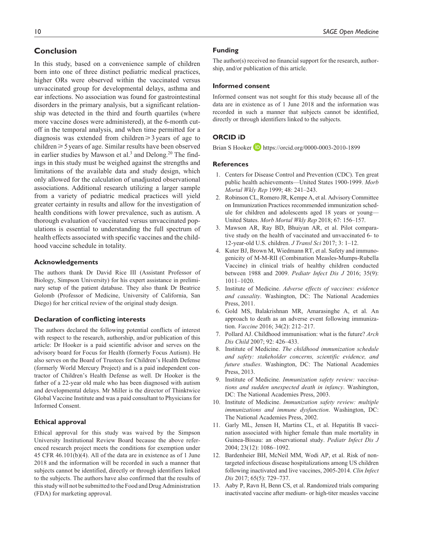# **Conclusion**

In this study, based on a convenience sample of children born into one of three distinct pediatric medical practices, higher ORs were observed within the vaccinated versus unvaccinated group for developmental delays, asthma and ear infections. No association was found for gastrointestinal disorders in the primary analysis, but a significant relationship was detected in the third and fourth quartiles (where more vaccine doses were administered), at the 6-month cutoff in the temporal analysis, and when time permitted for a diagnosis was extended from children $\geq 3$  years of age to children $\geq$  5 years of age. Similar results have been observed in earlier studies by Mawson et al.<sup>3</sup> and Delong.<sup>20</sup> The findings in this study must be weighed against the strengths and limitations of the available data and study design, which only allowed for the calculation of unadjusted observational associations. Additional research utilizing a larger sample from a variety of pediatric medical practices will yield greater certainty in results and allow for the investigation of health conditions with lower prevalence, such as autism. A thorough evaluation of vaccinated versus unvaccinated populations is essential to understanding the full spectrum of health effects associated with specific vaccines and the childhood vaccine schedule in totality.

#### **Acknowledgements**

The authors thank Dr David Rice III (Assistant Professor of Biology, Simpson University) for his expert assistance in preliminary setup of the patient database. They also thank Dr Beatrice Golomb (Professor of Medicine, University of California, San Diego) for her critical review of the original study design.

#### **Declaration of conflicting interests**

The authors declared the following potential conflicts of interest with respect to the research, authorship, and/or publication of this article: Dr Hooker is a paid scientific advisor and serves on the advisory board for Focus for Health (formerly Focus Autism). He also serves on the Board of Trustees for Children's Health Defense (formerly World Mercury Project) and is a paid independent contractor of Children's Health Defense as well. Dr Hooker is the father of a 22-year old male who has been diagnosed with autism and developmental delays. Mr Miller is the director of Thinktwice Global Vaccine Institute and was a paid consultant to Physicians for Informed Consent.

### **Ethical approval**

Ethical approval for this study was waived by the Simpson University Institutional Review Board because the above referenced research project meets the conditions for exemption under 45 CFR 46.101(b)(4). All of the data are in existence as of 1 June 2018 and the information will be recorded in such a manner that subjects cannot be identified, directly or through identifiers linked to the subjects. The authors have also confirmed that the results of this study will not be submitted to the Food and Drug Administration (FDA) for marketing approval.

#### **Funding**

The author(s) received no financial support for the research, authorship, and/or publication of this article.

### **Informed consent**

Informed consent was not sought for this study because all of the data are in existence as of 1 June 2018 and the information was recorded in such a manner that subjects cannot be identified, directly or through identifiers linked to the subjects.

# **ORCID iD**

Brian S Hooker **D** <https://orcid.org/0000-0003-2010-1899>

## **References**

- 1. Centers for Disease Control and Prevention (CDC). Ten great public health achievements—United States 1900-1999. *Morb Mortal Wkly Rep* 1999; 48: 241–243.
- 2. Robinson CL, Romero JR, Kempe A, et al. Advisory Committee on Immunization Practices recommended immunization schedule for children and adolescents aged 18 years or young— United States. *Morb Mortal Wkly Rep* 2018; 67: 156–157.
- 3. Mawson AR, Ray BD, Bhuiyan AR, et al. Pilot comparative study on the health of vaccinated and unvaccinated 6- to 12-year-old U.S. children. *J Transl Sci* 2017; 3: 1–12.
- 4. Kuter BJ, Brown M, Wiedmann RT, et al. Safety and immunogenicity of M-M-RII (Combination Measles-Mumps-Rubella Vaccine) in clinical trials of healthy children conducted between 1988 and 2009. *Pediatr Infect Dis J* 2016; 35(9): 1011–1020.
- 5. Institute of Medicine. *Adverse effects of vaccines: evidence and causality*. Washington, DC: The National Academies Press, 2011.
- 6. Gold MS, Balakrishnan MR, Amarasinghe A, et al. An approach to death as an adverse event following immunization. *Vaccine* 2016; 34(2): 212–217.
- 7. Pollard AJ. Childhood immunisation: what is the future? *Arch Dis Child* 2007; 92: 426–433.
- 8. Institute of Medicine. *The childhood immunization schedule and safety: stakeholder concerns, scientific evidence, and future studies*. Washington, DC: The National Academies Press, 2013.
- 9. Institute of Medicine. *Immunization safety review: vaccinations and sudden unexpected death in infancy*. Washington, DC: The National Academies Press, 2003.
- 10. Institute of Medicine. *Immunization safety review: multiple immunizations and immune dysfunction*. Washington, DC: The National Academies Press, 2002.
- 11. Garly ML, Jensen H, Martins CL, et al. Hepatitis B vaccination associated with higher female than male mortality in Guinea-Bissau: an observational study. *Pediatr Infect Dis J* 2004; 23(12): 1086–1092.
- 12. Bardenheier BH, McNeil MM, Wodi AP, et al. Risk of nontargeted infectious disease hospitalizations among US children following inactivated and live vaccines, 2005-2014. *Clin Infect Dis* 2017; 65(5): 729–737.
- 13. Aaby P, Ravn H, Benn CS, et al. Randomized trials comparing inactivated vaccine after medium- or high-titer measles vaccine